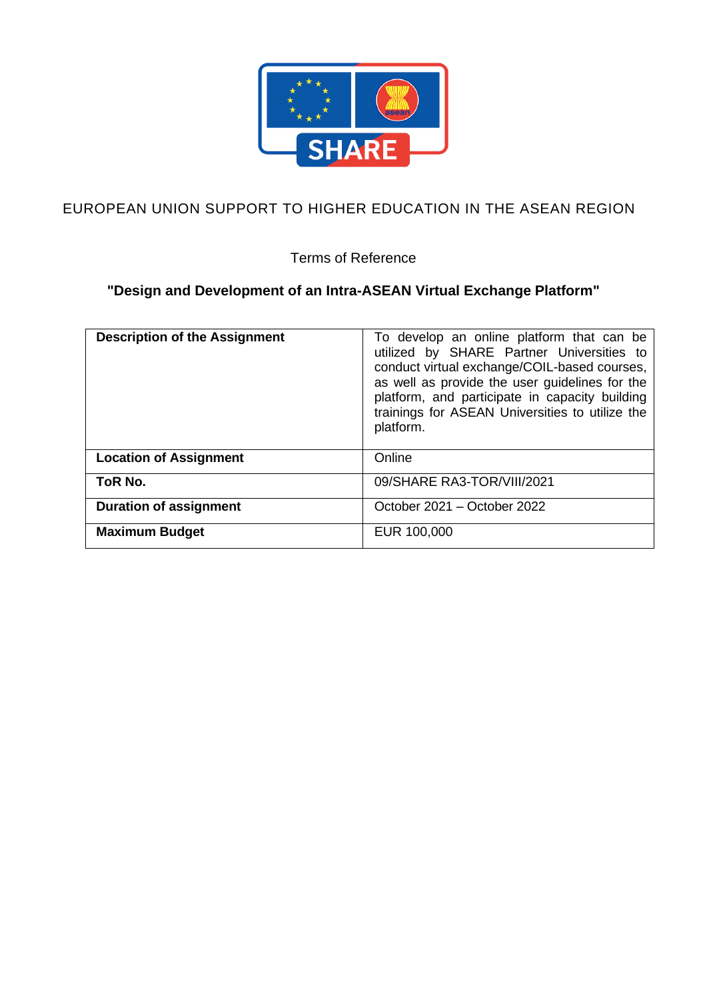

# EUROPEAN UNION SUPPORT TO HIGHER EDUCATION IN THE ASEAN REGION

Terms of Reference

# **"Design and Development of an Intra-ASEAN Virtual Exchange Platform"**

| <b>Description of the Assignment</b> | To develop an online platform that can be<br>utilized by SHARE Partner Universities to<br>conduct virtual exchange/COIL-based courses,<br>as well as provide the user guidelines for the<br>platform, and participate in capacity building<br>trainings for ASEAN Universities to utilize the<br>platform. |
|--------------------------------------|------------------------------------------------------------------------------------------------------------------------------------------------------------------------------------------------------------------------------------------------------------------------------------------------------------|
| <b>Location of Assignment</b>        | Online                                                                                                                                                                                                                                                                                                     |
| ToR No.                              | 09/SHARE RA3-TOR/VIII/2021                                                                                                                                                                                                                                                                                 |
| <b>Duration of assignment</b>        | October 2021 - October 2022                                                                                                                                                                                                                                                                                |
| <b>Maximum Budget</b>                | EUR 100,000                                                                                                                                                                                                                                                                                                |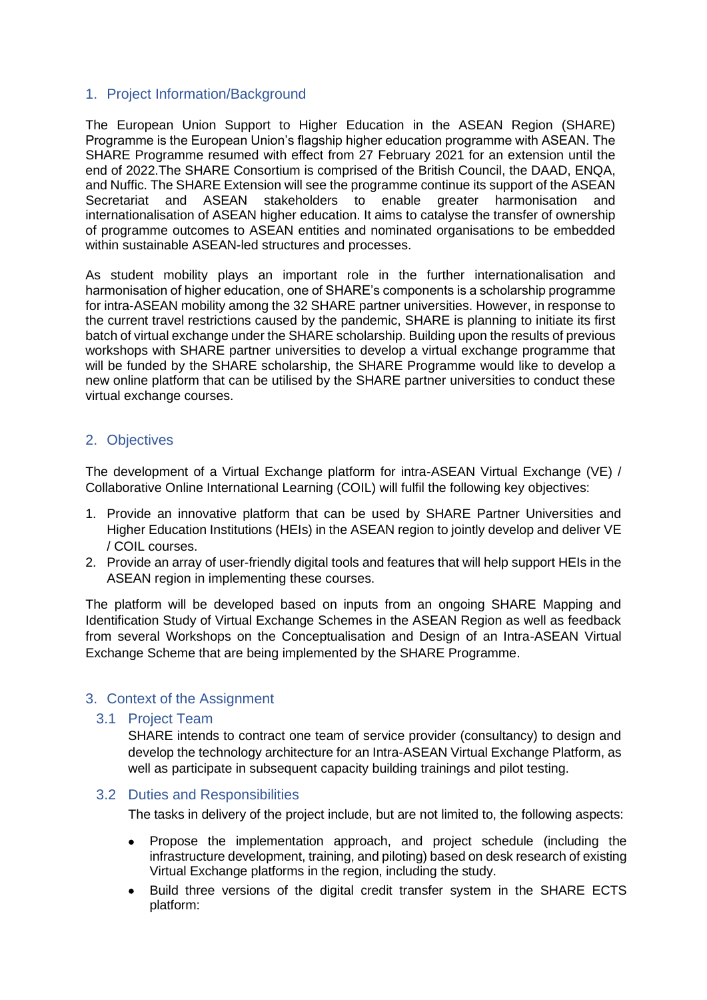## 1. Project Information/Background

The European Union Support to Higher Education in the ASEAN Region (SHARE) Programme is the European Union's flagship higher education programme with ASEAN. The SHARE Programme resumed with effect from 27 February 2021 for an extension until the end of 2022.The SHARE Consortium is comprised of the British Council, the DAAD, ENQA, and Nuffic. The SHARE Extension will see the programme continue its support of the ASEAN Secretariat and ASEAN stakeholders to enable greater harmonisation and internationalisation of ASEAN higher education. It aims to catalyse the transfer of ownership of programme outcomes to ASEAN entities and nominated organisations to be embedded within sustainable ASEAN-led structures and processes.

As student mobility plays an important role in the further internationalisation and harmonisation of higher education, one of SHARE's components is a scholarship programme for intra-ASEAN mobility among the 32 SHARE partner universities. However, in response to the current travel restrictions caused by the pandemic, SHARE is planning to initiate its first batch of virtual exchange under the SHARE scholarship. Building upon the results of previous workshops with SHARE partner universities to develop a virtual exchange programme that will be funded by the SHARE scholarship, the SHARE Programme would like to develop a new online platform that can be utilised by the SHARE partner universities to conduct these virtual exchange courses.

## 2. Objectives

The development of a Virtual Exchange platform for intra-ASEAN Virtual Exchange (VE) / Collaborative Online International Learning (COIL) will fulfil the following key objectives:

- 1. Provide an innovative platform that can be used by SHARE Partner Universities and Higher Education Institutions (HEIs) in the ASEAN region to jointly develop and deliver VE / COIL courses.
- 2. Provide an array of user-friendly digital tools and features that will help support HEIs in the ASEAN region in implementing these courses.

The platform will be developed based on inputs from an ongoing SHARE Mapping and Identification Study of Virtual Exchange Schemes in the ASEAN Region as well as feedback from several Workshops on the Conceptualisation and Design of an Intra-ASEAN Virtual Exchange Scheme that are being implemented by the SHARE Programme.

## 3. Context of the Assignment

#### 3.1 Project Team

SHARE intends to contract one team of service provider (consultancy) to design and develop the technology architecture for an Intra-ASEAN Virtual Exchange Platform, as well as participate in subsequent capacity building trainings and pilot testing.

#### 3.2 Duties and Responsibilities

The tasks in delivery of the project include, but are not limited to, the following aspects:

- Propose the implementation approach, and project schedule (including the infrastructure development, training, and piloting) based on desk research of existing Virtual Exchange platforms in the region, including the study.
- Build three versions of the digital credit transfer system in the SHARE ECTS platform: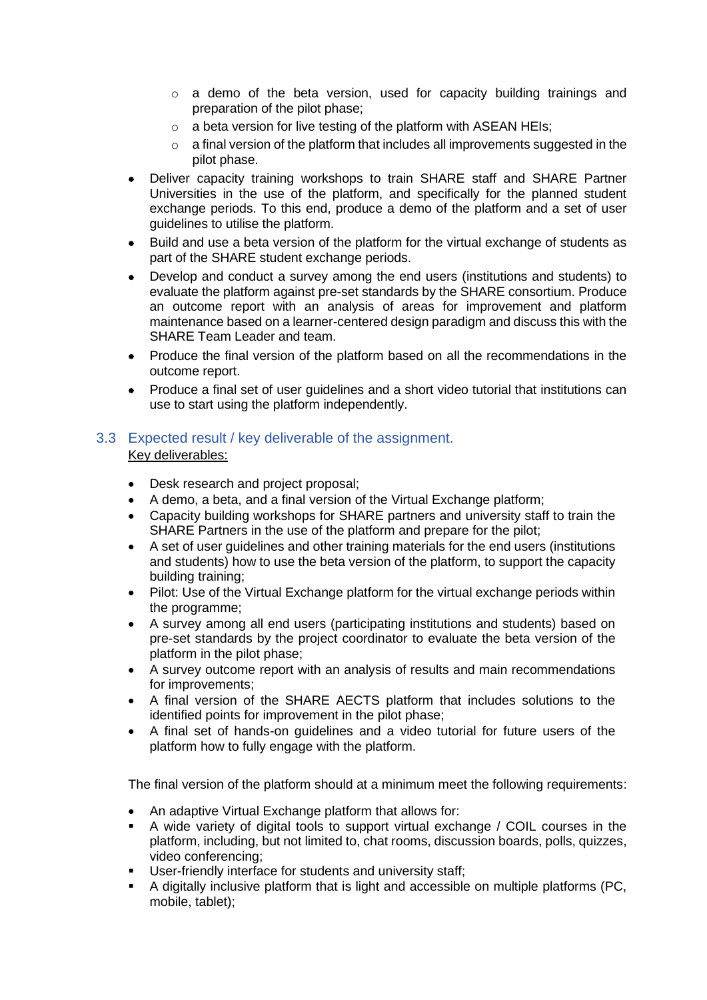- $\circ$  a demo of the beta version, used for capacity building trainings and preparation of the pilot phase;
- $\circ$  a beta version for live testing of the platform with ASEAN HEIs;
- $\circ$  a final version of the platform that includes all improvements suggested in the pilot phase.
- Deliver capacity training workshops to train SHARE staff and SHARE Partner Universities in the use of the platform, and specifically for the planned student exchange periods. To this end, produce a demo of the platform and a set of user guidelines to utilise the platform.
- Build and use a beta version of the platform for the virtual exchange of students as part of the SHARE student exchange periods.
- Develop and conduct a survey among the end users (institutions and students) to evaluate the platform against pre-set standards by the SHARE consortium. Produce an outcome report with an analysis of areas for improvement and platform maintenance based on a learner-centered design paradigm and discuss this with the SHARE Team Leader and team.
- Produce the final version of the platform based on all the recommendations in the outcome report.
- Produce a final set of user guidelines and a short video tutorial that institutions can use to start using the platform independently.

## 3.3 Expected result / key deliverable of the assignment. Key deliverables:

- Desk research and project proposal;
- A demo, a beta, and a final version of the Virtual Exchange platform;
- Capacity building workshops for SHARE partners and university staff to train the SHARE Partners in the use of the platform and prepare for the pilot;
- A set of user guidelines and other training materials for the end users (institutions and students) how to use the beta version of the platform, to support the capacity building training;
- Pilot: Use of the Virtual Exchange platform for the virtual exchange periods within the programme;
- A survey among all end users (participating institutions and students) based on pre-set standards by the project coordinator to evaluate the beta version of the platform in the pilot phase;
- A survey outcome report with an analysis of results and main recommendations for improvements;
- A final version of the SHARE AECTS platform that includes solutions to the identified points for improvement in the pilot phase;
- A final set of hands-on guidelines and a video tutorial for future users of the platform how to fully engage with the platform.

The final version of the platform should at a minimum meet the following requirements:

- An adaptive Virtual Exchange platform that allows for:
- A wide variety of digital tools to support virtual exchange / COIL courses in the platform, including, but not limited to, chat rooms, discussion boards, polls, quizzes, video conferencing;
- User-friendly interface for students and university staff;
- A digitally inclusive platform that is light and accessible on multiple platforms (PC, mobile, tablet);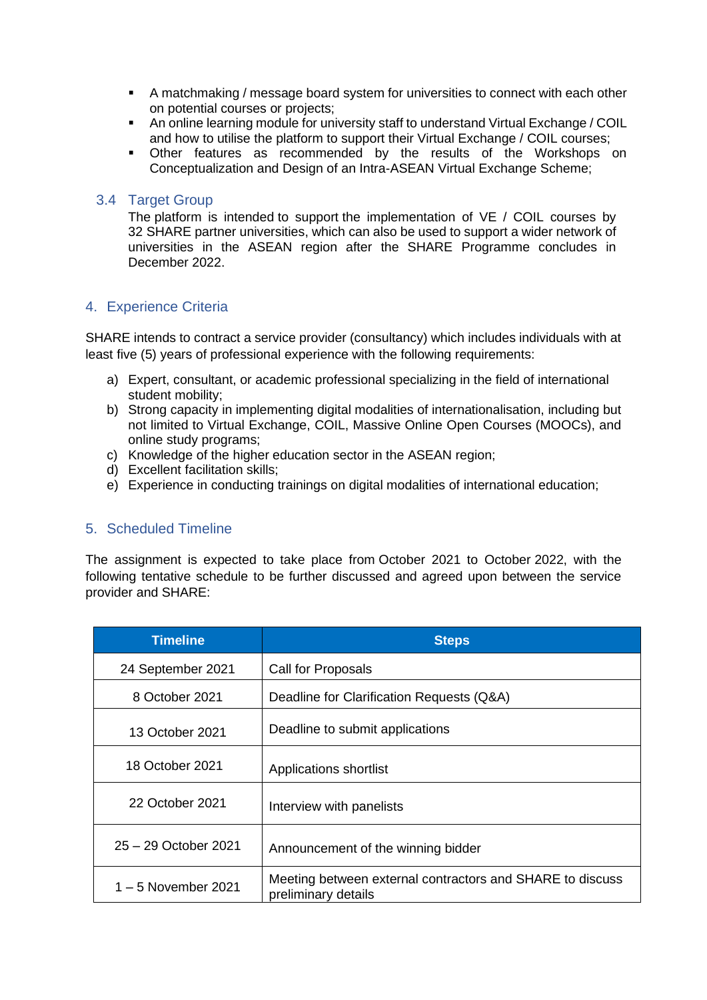- A matchmaking / message board system for universities to connect with each other on potential courses or projects;
- An online learning module for university staff to understand Virtual Exchange / COIL and how to utilise the platform to support their Virtual Exchange / COIL courses;
- Other features as recommended by the results of the Workshops on Conceptualization and Design of an Intra-ASEAN Virtual Exchange Scheme;

#### 3.4 Target Group

The platform is intended to support the implementation of VE / COIL courses by 32 SHARE partner universities, which can also be used to support a wider network of universities in the ASEAN region after the SHARE Programme concludes in December 2022.

## 4. Experience Criteria

SHARE intends to contract a service provider (consultancy) which includes individuals with at least five (5) years of professional experience with the following requirements:

- a) Expert, consultant, or academic professional specializing in the field of international student mobility;
- b) Strong capacity in implementing digital modalities of internationalisation, including but not limited to Virtual Exchange, COIL, Massive Online Open Courses (MOOCs), and online study programs;
- c) Knowledge of the higher education sector in the ASEAN region;
- d) Excellent facilitation skills;
- e) Experience in conducting trainings on digital modalities of international education;

## 5. Scheduled Timeline

The assignment is expected to take place from October 2021 to October 2022, with the following tentative schedule to be further discussed and agreed upon between the service provider and SHARE:

| <b>Timeline</b>       | <b>Steps</b>                                                                     |
|-----------------------|----------------------------------------------------------------------------------|
| 24 September 2021     | Call for Proposals                                                               |
| 8 October 2021        | Deadline for Clarification Requests (Q&A)                                        |
| 13 October 2021       | Deadline to submit applications                                                  |
| 18 October 2021       | Applications shortlist                                                           |
| 22 October 2021       | Interview with panelists                                                         |
| 25 - 29 October 2021  | Announcement of the winning bidder                                               |
| $1 - 5$ November 2021 | Meeting between external contractors and SHARE to discuss<br>preliminary details |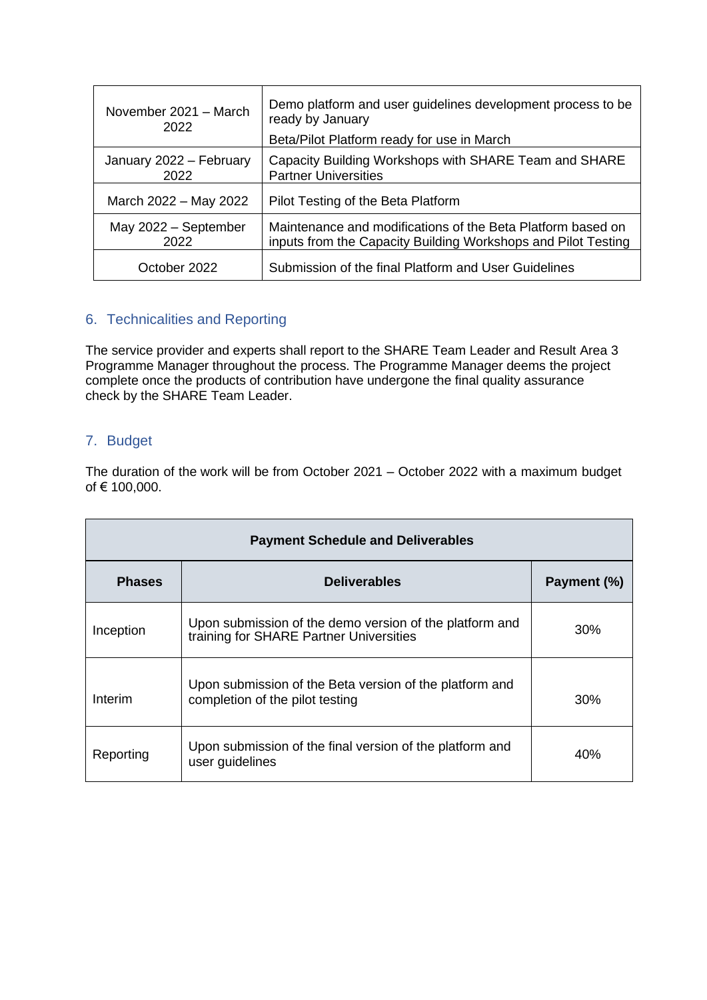| November 2021 - March<br>2022   | Demo platform and user guidelines development process to be<br>ready by January<br>Beta/Pilot Platform ready for use in March |
|---------------------------------|-------------------------------------------------------------------------------------------------------------------------------|
| January 2022 - February<br>2022 | Capacity Building Workshops with SHARE Team and SHARE<br><b>Partner Universities</b>                                          |
| March 2022 - May 2022           | Pilot Testing of the Beta Platform                                                                                            |
| May 2022 - September<br>2022    | Maintenance and modifications of the Beta Platform based on<br>inputs from the Capacity Building Workshops and Pilot Testing  |
| October 2022                    | Submission of the final Platform and User Guidelines                                                                          |

## 6. Technicalities and Reporting

The service provider and experts shall report to the SHARE Team Leader and Result Area 3 Programme Manager throughout the process. The Programme Manager deems the project complete once the products of contribution have undergone the final quality assurance check by the SHARE Team Leader.

## 7. Budget

The duration of the work will be from October 2021 – October 2022 with a maximum budget of € 100,000.

| <b>Payment Schedule and Deliverables</b> |                                                                                                    |             |  |  |
|------------------------------------------|----------------------------------------------------------------------------------------------------|-------------|--|--|
| <b>Phases</b>                            | <b>Deliverables</b>                                                                                | Payment (%) |  |  |
| Inception                                | Upon submission of the demo version of the platform and<br>training for SHARE Partner Universities | $30\%$      |  |  |
| Interim                                  | Upon submission of the Beta version of the platform and<br>completion of the pilot testing         | 30%         |  |  |
| Reporting                                | Upon submission of the final version of the platform and<br>user guidelines                        | 40%         |  |  |